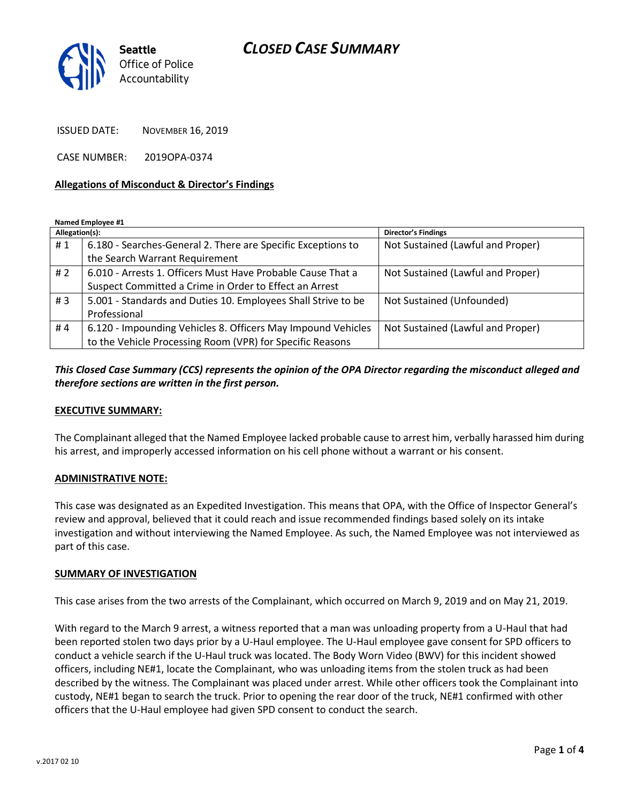## *CLOSED CASE SUMMARY*



ISSUED DATE: NOVEMBER 16, 2019

CASE NUMBER: 2019OPA-0374

#### **Allegations of Misconduct & Director's Findings**

**Named Employee #1**

| Allegation(s): |                                                               | <b>Director's Findings</b>        |
|----------------|---------------------------------------------------------------|-----------------------------------|
| #1             | 6.180 - Searches-General 2. There are Specific Exceptions to  | Not Sustained (Lawful and Proper) |
|                | the Search Warrant Requirement                                |                                   |
| # $2$          | 6.010 - Arrests 1. Officers Must Have Probable Cause That a   | Not Sustained (Lawful and Proper) |
|                | Suspect Committed a Crime in Order to Effect an Arrest        |                                   |
| #3             | 5.001 - Standards and Duties 10. Employees Shall Strive to be | Not Sustained (Unfounded)         |
|                | Professional                                                  |                                   |
| #4             | 6.120 - Impounding Vehicles 8. Officers May Impound Vehicles  | Not Sustained (Lawful and Proper) |
|                | to the Vehicle Processing Room (VPR) for Specific Reasons     |                                   |

### *This Closed Case Summary (CCS) represents the opinion of the OPA Director regarding the misconduct alleged and therefore sections are written in the first person.*

#### **EXECUTIVE SUMMARY:**

The Complainant alleged that the Named Employee lacked probable cause to arrest him, verbally harassed him during his arrest, and improperly accessed information on his cell phone without a warrant or his consent.

#### **ADMINISTRATIVE NOTE:**

This case was designated as an Expedited Investigation. This means that OPA, with the Office of Inspector General's review and approval, believed that it could reach and issue recommended findings based solely on its intake investigation and without interviewing the Named Employee. As such, the Named Employee was not interviewed as part of this case.

#### **SUMMARY OF INVESTIGATION**

This case arises from the two arrests of the Complainant, which occurred on March 9, 2019 and on May 21, 2019.

With regard to the March 9 arrest, a witness reported that a man was unloading property from a U-Haul that had been reported stolen two days prior by a U-Haul employee. The U-Haul employee gave consent for SPD officers to conduct a vehicle search if the U-Haul truck was located. The Body Worn Video (BWV) for this incident showed officers, including NE#1, locate the Complainant, who was unloading items from the stolen truck as had been described by the witness. The Complainant was placed under arrest. While other officers took the Complainant into custody, NE#1 began to search the truck. Prior to opening the rear door of the truck, NE#1 confirmed with other officers that the U-Haul employee had given SPD consent to conduct the search.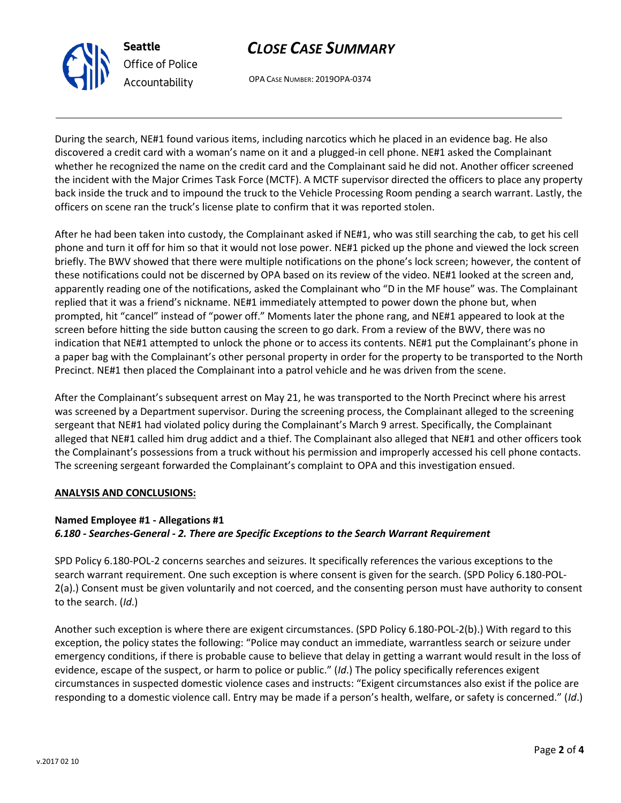

# *CLOSE CASE SUMMARY*

OPA CASE NUMBER: 2019OPA-0374

During the search, NE#1 found various items, including narcotics which he placed in an evidence bag. He also discovered a credit card with a woman's name on it and a plugged-in cell phone. NE#1 asked the Complainant whether he recognized the name on the credit card and the Complainant said he did not. Another officer screened the incident with the Major Crimes Task Force (MCTF). A MCTF supervisor directed the officers to place any property back inside the truck and to impound the truck to the Vehicle Processing Room pending a search warrant. Lastly, the officers on scene ran the truck's license plate to confirm that it was reported stolen.

After he had been taken into custody, the Complainant asked if NE#1, who was still searching the cab, to get his cell phone and turn it off for him so that it would not lose power. NE#1 picked up the phone and viewed the lock screen briefly. The BWV showed that there were multiple notifications on the phone's lock screen; however, the content of these notifications could not be discerned by OPA based on its review of the video. NE#1 looked at the screen and, apparently reading one of the notifications, asked the Complainant who "D in the MF house" was. The Complainant replied that it was a friend's nickname. NE#1 immediately attempted to power down the phone but, when prompted, hit "cancel" instead of "power off." Moments later the phone rang, and NE#1 appeared to look at the screen before hitting the side button causing the screen to go dark. From a review of the BWV, there was no indication that NE#1 attempted to unlock the phone or to access its contents. NE#1 put the Complainant's phone in a paper bag with the Complainant's other personal property in order for the property to be transported to the North Precinct. NE#1 then placed the Complainant into a patrol vehicle and he was driven from the scene.

After the Complainant's subsequent arrest on May 21, he was transported to the North Precinct where his arrest was screened by a Department supervisor. During the screening process, the Complainant alleged to the screening sergeant that NE#1 had violated policy during the Complainant's March 9 arrest. Specifically, the Complainant alleged that NE#1 called him drug addict and a thief. The Complainant also alleged that NE#1 and other officers took the Complainant's possessions from a truck without his permission and improperly accessed his cell phone contacts. The screening sergeant forwarded the Complainant's complaint to OPA and this investigation ensued.

### **ANALYSIS AND CONCLUSIONS:**

## **Named Employee #1 - Allegations #1** *6.180 - Searches-General - 2. There are Specific Exceptions to the Search Warrant Requirement*

SPD Policy 6.180-POL-2 concerns searches and seizures. It specifically references the various exceptions to the search warrant requirement. One such exception is where consent is given for the search. (SPD Policy 6.180-POL-2(a).) Consent must be given voluntarily and not coerced, and the consenting person must have authority to consent to the search. (*Id*.)

Another such exception is where there are exigent circumstances. (SPD Policy 6.180-POL-2(b).) With regard to this exception, the policy states the following: "Police may conduct an immediate, warrantless search or seizure under emergency conditions, if there is probable cause to believe that delay in getting a warrant would result in the loss of evidence, escape of the suspect, or harm to police or public." (*Id*.) The policy specifically references exigent circumstances in suspected domestic violence cases and instructs: "Exigent circumstances also exist if the police are responding to a domestic violence call. Entry may be made if a person's health, welfare, or safety is concerned." (*Id*.)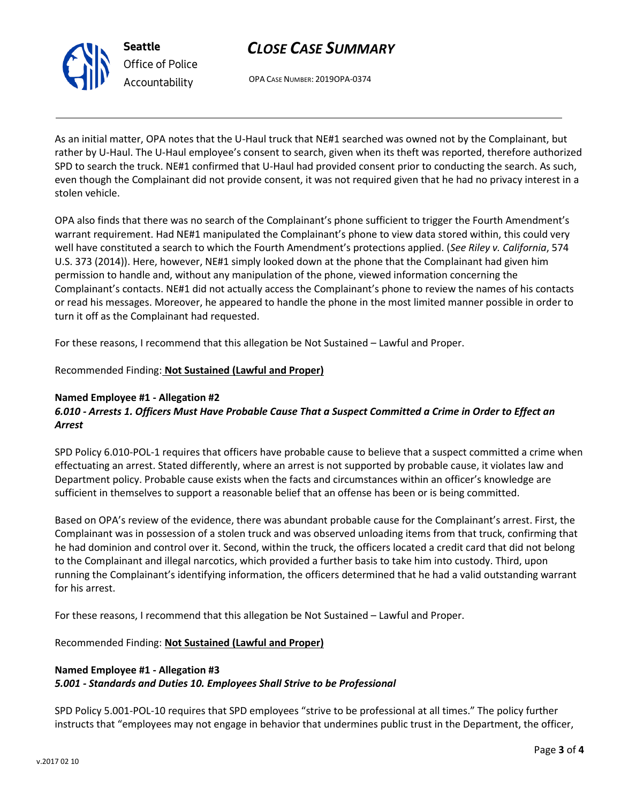

**Seattle** *Office of Police Accountability*

# *CLOSE CASE SUMMARY*

OPA CASE NUMBER: 2019OPA-0374

As an initial matter, OPA notes that the U-Haul truck that NE#1 searched was owned not by the Complainant, but rather by U-Haul. The U-Haul employee's consent to search, given when its theft was reported, therefore authorized SPD to search the truck. NE#1 confirmed that U-Haul had provided consent prior to conducting the search. As such, even though the Complainant did not provide consent, it was not required given that he had no privacy interest in a stolen vehicle.

OPA also finds that there was no search of the Complainant's phone sufficient to trigger the Fourth Amendment's warrant requirement. Had NE#1 manipulated the Complainant's phone to view data stored within, this could very well have constituted a search to which the Fourth Amendment's protections applied. (*See Riley v. California*, 574 U.S. 373 (2014)). Here, however, NE#1 simply looked down at the phone that the Complainant had given him permission to handle and, without any manipulation of the phone, viewed information concerning the Complainant's contacts. NE#1 did not actually access the Complainant's phone to review the names of his contacts or read his messages. Moreover, he appeared to handle the phone in the most limited manner possible in order to turn it off as the Complainant had requested.

For these reasons, I recommend that this allegation be Not Sustained – Lawful and Proper.

Recommended Finding: **Not Sustained (Lawful and Proper)**

### **Named Employee #1 - Allegation #2**

## *6.010 - Arrests 1. Officers Must Have Probable Cause That a Suspect Committed a Crime in Order to Effect an Arrest*

SPD Policy 6.010-POL-1 requires that officers have probable cause to believe that a suspect committed a crime when effectuating an arrest. Stated differently, where an arrest is not supported by probable cause, it violates law and Department policy. Probable cause exists when the facts and circumstances within an officer's knowledge are sufficient in themselves to support a reasonable belief that an offense has been or is being committed.

Based on OPA's review of the evidence, there was abundant probable cause for the Complainant's arrest. First, the Complainant was in possession of a stolen truck and was observed unloading items from that truck, confirming that he had dominion and control over it. Second, within the truck, the officers located a credit card that did not belong to the Complainant and illegal narcotics, which provided a further basis to take him into custody. Third, upon running the Complainant's identifying information, the officers determined that he had a valid outstanding warrant for his arrest.

For these reasons, I recommend that this allegation be Not Sustained – Lawful and Proper.

Recommended Finding: **Not Sustained (Lawful and Proper)**

### **Named Employee #1 - Allegation #3** *5.001 - Standards and Duties 10. Employees Shall Strive to be Professional*

SPD Policy 5.001-POL-10 requires that SPD employees "strive to be professional at all times." The policy further instructs that "employees may not engage in behavior that undermines public trust in the Department, the officer,